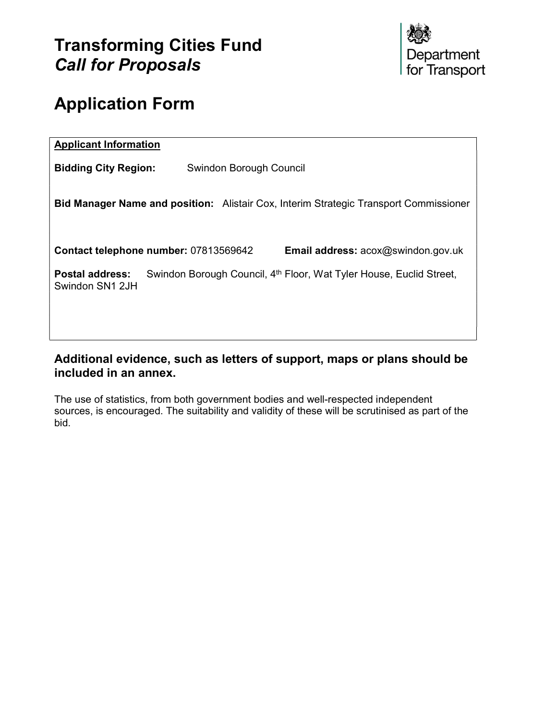

# Application Form

| <b>Applicant Information</b>                                                                                                 |
|------------------------------------------------------------------------------------------------------------------------------|
| <b>Bidding City Region:</b><br>Swindon Borough Council                                                                       |
| <b>Bid Manager Name and position:</b> Alistair Cox, Interim Strategic Transport Commissioner                                 |
| Contact telephone number: 07813569642<br><b>Email address: acox@swindon.gov.uk</b>                                           |
| <b>Postal address:</b><br>Swindon Borough Council, 4 <sup>th</sup> Floor, Wat Tyler House, Euclid Street,<br>Swindon SN1 2JH |
|                                                                                                                              |

## Additional evidence, such as letters of support, maps or plans should be included in an annex.

The use of statistics, from both government bodies and well-respected independent sources, is encouraged. The suitability and validity of these will be scrutinised as part of the bid.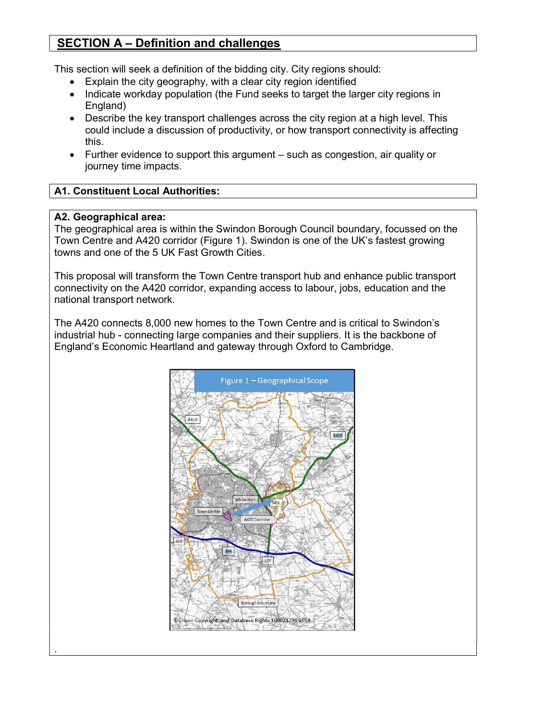# SECTION A – Definition and challenges

This section will seek a definition of the bidding city. City regions should:

- Explain the city geography, with a clear city region identified
- Indicate workday population (the Fund seeks to target the larger city regions in England)
- Describe the key transport challenges across the city region at a high level. This could include a discussion of productivity, or how transport connectivity is affecting this.
- Further evidence to support this argument such as congestion, air quality or journey time impacts.

### A1. Constituent Local Authorities:

### A2. Geographical area:

.

The geographical area is within the Swindon Borough Council boundary, focussed on the Town Centre and A420 corridor (Figure 1). Swindon is one of the UK's fastest growing towns and one of the 5 UK Fast Growth Cities.

This proposal will transform the Town Centre transport hub and enhance public transport connectivity on the A420 corridor, expanding access to labour, jobs, education and the national transport network.

The A420 connects 8,000 new homes to the Town Centre and is critical to Swindon's industrial hub - connecting large companies and their suppliers. It is the backbone of England's Economic Heartland and gateway through Oxford to Cambridge.

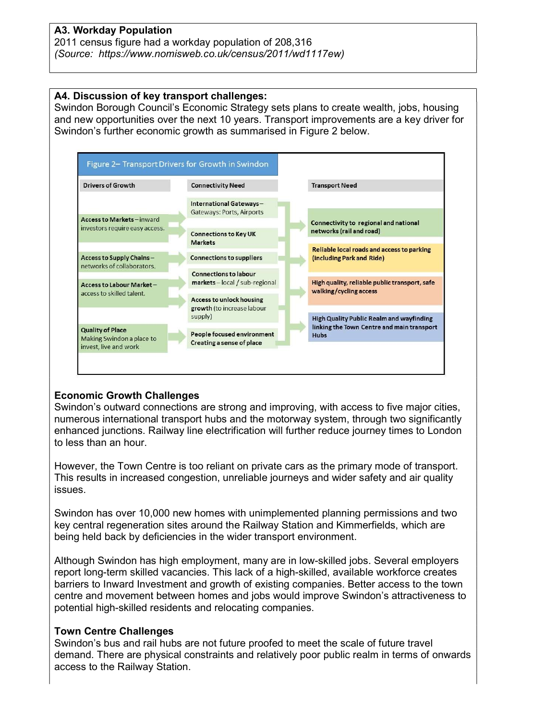### A3. Workday Population

2011 census figure had a workday population of 208,316 (Source: https://www.nomisweb.co.uk/census/2011/wd1117ew)

#### A4. Discussion of key transport challenges:

Swindon Borough Council's Economic Strategy sets plans to create wealth, jobs, housing and new opportunities over the next 10 years. Transport improvements are a key driver for Swindon's further economic growth as summarised in Figure 2 below.



### Economic Growth Challenges

Swindon's outward connections are strong and improving, with access to five major cities, numerous international transport hubs and the motorway system, through two significantly enhanced junctions. Railway line electrification will further reduce journey times to London to less than an hour.

However, the Town Centre is too reliant on private cars as the primary mode of transport. This results in increased congestion, unreliable journeys and wider safety and air quality issues.

Swindon has over 10,000 new homes with unimplemented planning permissions and two key central regeneration sites around the Railway Station and Kimmerfields, which are being held back by deficiencies in the wider transport environment.

Although Swindon has high employment, many are in low-skilled jobs. Several employers report long-term skilled vacancies. This lack of a high-skilled, available workforce creates barriers to Inward Investment and growth of existing companies. Better access to the town centre and movement between homes and jobs would improve Swindon's attractiveness to potential high-skilled residents and relocating companies.

### Town Centre Challenges

Swindon's bus and rail hubs are not future proofed to meet the scale of future travel demand. There are physical constraints and relatively poor public realm in terms of onwards access to the Railway Station.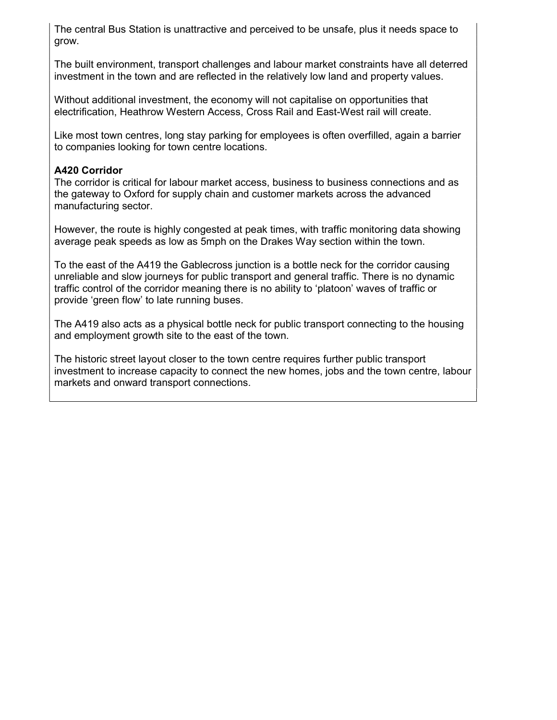The central Bus Station is unattractive and perceived to be unsafe, plus it needs space to grow.

The built environment, transport challenges and labour market constraints have all deterred investment in the town and are reflected in the relatively low land and property values.

Without additional investment, the economy will not capitalise on opportunities that electrification, Heathrow Western Access, Cross Rail and East-West rail will create.

Like most town centres, long stay parking for employees is often overfilled, again a barrier to companies looking for town centre locations.

### A420 Corridor

The corridor is critical for labour market access, business to business connections and as the gateway to Oxford for supply chain and customer markets across the advanced manufacturing sector.

However, the route is highly congested at peak times, with traffic monitoring data showing average peak speeds as low as 5mph on the Drakes Way section within the town.

To the east of the A419 the Gablecross junction is a bottle neck for the corridor causing unreliable and slow journeys for public transport and general traffic. There is no dynamic traffic control of the corridor meaning there is no ability to 'platoon' waves of traffic or provide 'green flow' to late running buses.

The A419 also acts as a physical bottle neck for public transport connecting to the housing and employment growth site to the east of the town.

The historic street layout closer to the town centre requires further public transport investment to increase capacity to connect the new homes, jobs and the town centre, labour markets and onward transport connections.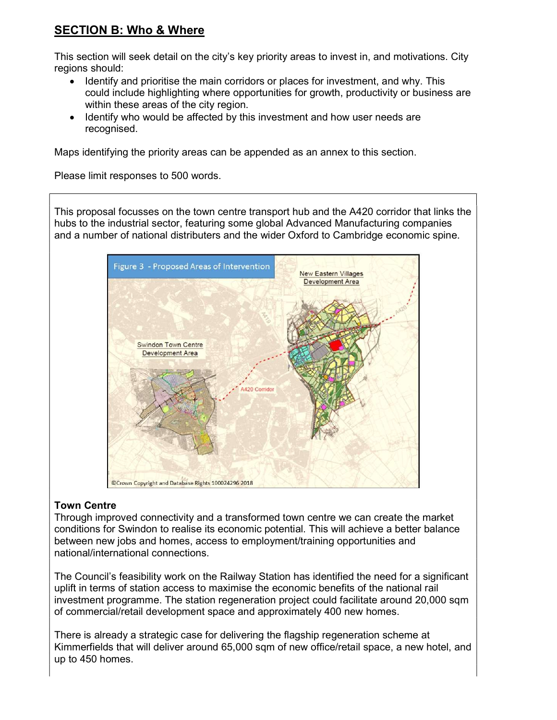# SECTION B: Who & Where

This section will seek detail on the city's key priority areas to invest in, and motivations. City regions should:

- Identify and prioritise the main corridors or places for investment, and why. This could include highlighting where opportunities for growth, productivity or business are within these areas of the city region.
- Identify who would be affected by this investment and how user needs are recognised.

Maps identifying the priority areas can be appended as an annex to this section.

Please limit responses to 500 words.

This proposal focusses on the town centre transport hub and the A420 corridor that links the hubs to the industrial sector, featuring some global Advanced Manufacturing companies and a number of national distributers and the wider Oxford to Cambridge economic spine.



### Town Centre

Through improved connectivity and a transformed town centre we can create the market conditions for Swindon to realise its economic potential. This will achieve a better balance between new jobs and homes, access to employment/training opportunities and national/international connections.

The Council's feasibility work on the Railway Station has identified the need for a significant uplift in terms of station access to maximise the economic benefits of the national rail investment programme. The station regeneration project could facilitate around 20,000 sqm of commercial/retail development space and approximately 400 new homes.

There is already a strategic case for delivering the flagship regeneration scheme at Kimmerfields that will deliver around 65,000 sqm of new office/retail space, a new hotel, and up to 450 homes.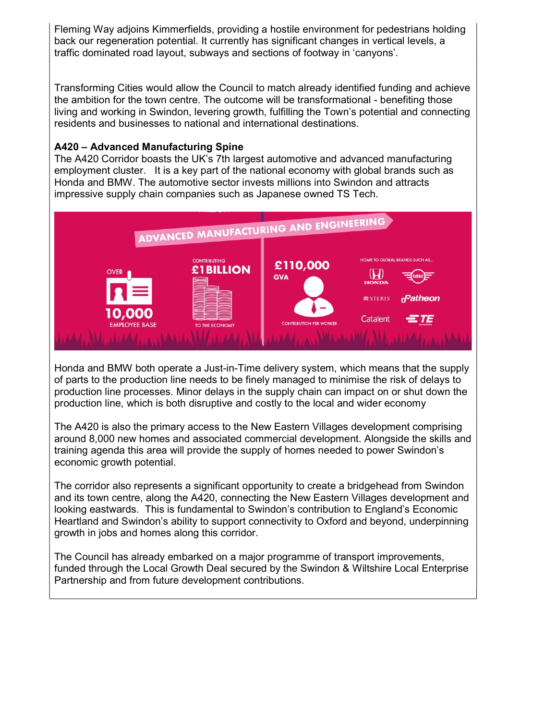Fleming Way adjoins Kimmerfields, providing a hostile environment for pedestrians holding back our regeneration potential. It currently has significant changes in vertical levels, a traffic dominated road layout, subways and sections of footway in 'canyons'.

Transforming Cities would allow the Council to match already identified funding and achieve the ambition for the town centre. The outcome will be transformational - benefiting those living and working in Swindon, levering growth, fulfilling the Town's potential and connecting residents and businesses to national and international destinations.

#### A420 – Advanced Manufacturing Spine

The A420 Corridor boasts the UK's 7th largest automotive and advanced manufacturing employment cluster. It is a key part of the national economy with global brands such as Honda and BMW. The automotive sector invests millions into Swindon and attracts impressive supply chain companies such as Japanese owned TS Tech.



Honda and BMW both operate a Just-in-Time delivery system, which means that the supply of parts to the production line needs to be finely managed to minimise the risk of delays to production line processes. Minor delays in the supply chain can impact on or shut down the production line, which is both disruptive and costly to the local and wider economy

The A420 is also the primary access to the New Eastern Villages development comprising around 8,000 new homes and associated commercial development. Alongside the skills and training agenda this area will provide the supply of homes needed to power Swindon's economic growth potential.

The corridor also represents a significant opportunity to create a bridgehead from Swindon and its town centre, along the A420, connecting the New Eastern Villages development and looking eastwards. This is fundamental to Swindon's contribution to England's Economic Heartland and Swindon's ability to support connectivity to Oxford and beyond, underpinning growth in jobs and homes along this corridor.

The Council has already embarked on a major programme of transport improvements, funded through the Local Growth Deal secured by the Swindon & Wiltshire Local Enterprise Partnership and from future development contributions.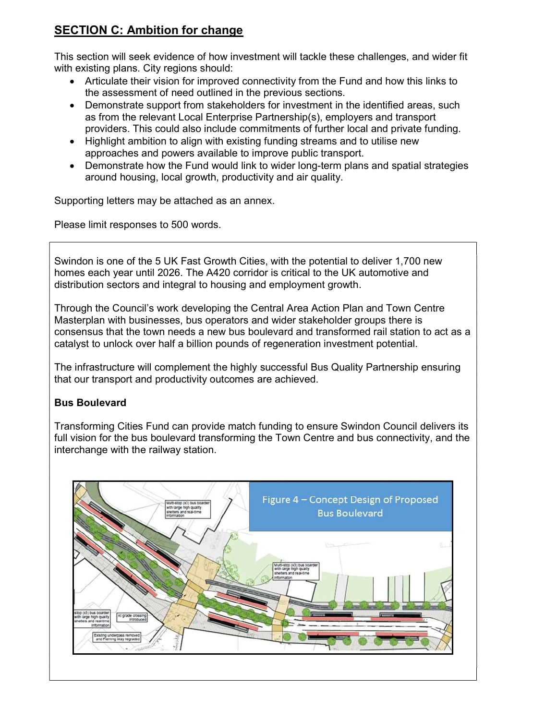# SECTION C: Ambition for change

This section will seek evidence of how investment will tackle these challenges, and wider fit with existing plans. City regions should:

- Articulate their vision for improved connectivity from the Fund and how this links to the assessment of need outlined in the previous sections.
- Demonstrate support from stakeholders for investment in the identified areas, such as from the relevant Local Enterprise Partnership(s), employers and transport providers. This could also include commitments of further local and private funding.
- Highlight ambition to align with existing funding streams and to utilise new approaches and powers available to improve public transport.
- Demonstrate how the Fund would link to wider long-term plans and spatial strategies around housing, local growth, productivity and air quality.

Supporting letters may be attached as an annex.

Please limit responses to 500 words.

Swindon is one of the 5 UK Fast Growth Cities, with the potential to deliver 1,700 new homes each year until 2026. The A420 corridor is critical to the UK automotive and distribution sectors and integral to housing and employment growth.

Through the Council's work developing the Central Area Action Plan and Town Centre Masterplan with businesses, bus operators and wider stakeholder groups there is consensus that the town needs a new bus boulevard and transformed rail station to act as a catalyst to unlock over half a billion pounds of regeneration investment potential.

The infrastructure will complement the highly successful Bus Quality Partnership ensuring that our transport and productivity outcomes are achieved.

### Bus Boulevard

Transforming Cities Fund can provide match funding to ensure Swindon Council delivers its full vision for the bus boulevard transforming the Town Centre and bus connectivity, and the interchange with the railway station.

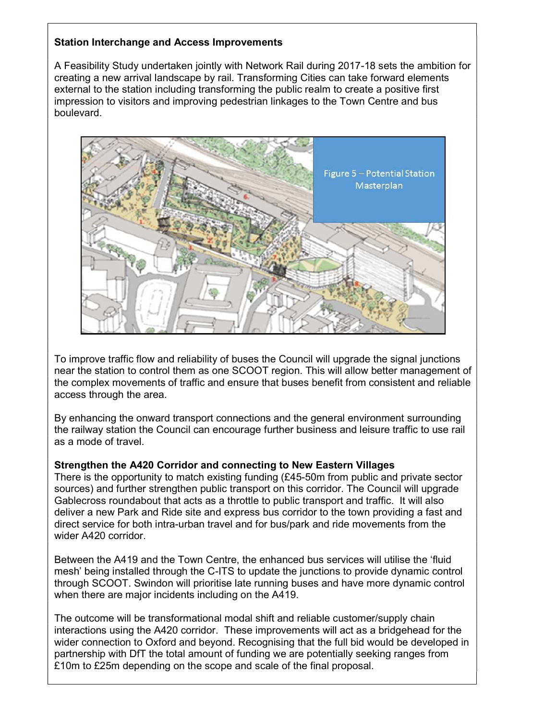### Station Interchange and Access Improvements

A Feasibility Study undertaken jointly with Network Rail during 2017-18 sets the ambition for creating a new arrival landscape by rail. Transforming Cities can take forward elements external to the station including transforming the public realm to create a positive first impression to visitors and improving pedestrian linkages to the Town Centre and bus boulevard.



To improve traffic flow and reliability of buses the Council will upgrade the signal junctions near the station to control them as one SCOOT region. This will allow better management of the complex movements of traffic and ensure that buses benefit from consistent and reliable access through the area.

By enhancing the onward transport connections and the general environment surrounding the railway station the Council can encourage further business and leisure traffic to use rail as a mode of travel.

#### Strengthen the A420 Corridor and connecting to New Eastern Villages

There is the opportunity to match existing funding (£45-50m from public and private sector sources) and further strengthen public transport on this corridor. The Council will upgrade Gablecross roundabout that acts as a throttle to public transport and traffic. It will also deliver a new Park and Ride site and express bus corridor to the town providing a fast and direct service for both intra-urban travel and for bus/park and ride movements from the wider A420 corridor.

Between the A419 and the Town Centre, the enhanced bus services will utilise the 'fluid mesh' being installed through the C-ITS to update the junctions to provide dynamic control through SCOOT. Swindon will prioritise late running buses and have more dynamic control when there are major incidents including on the A419.

The outcome will be transformational modal shift and reliable customer/supply chain interactions using the A420 corridor. These improvements will act as a bridgehead for the wider connection to Oxford and beyond. Recognising that the full bid would be developed in partnership with DfT the total amount of funding we are potentially seeking ranges from £10m to £25m depending on the scope and scale of the final proposal.